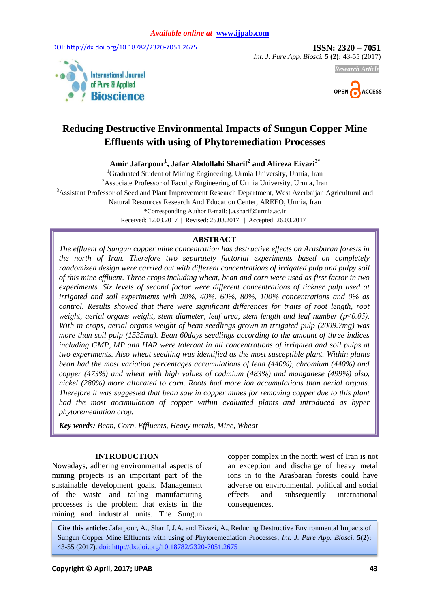DOI: http://dx.doi.org/10.18782[/2320-](http://www.ijpab.com/vol4-iss5a1.php)7051.2675 **ISSN: 2320 – 7051** 

*Int. J. Pure App. Biosci.* **5 (2):** 43-55 (2017)





*Research Article*

# **Reducing Destructive Environmental Impacts of Sungun Copper Mine Effluents with using of Phytoremediation Processes**

**Amir Jafarpour<sup>1</sup> , Jafar Abdollahi Sharif<sup>2</sup> and Alireza Eivazi3\***

<sup>1</sup>Graduated Student of Mining Engineering, Urmia University, Urmia, Iran <sup>2</sup> Associate Professor of Faculty Engineering of Urmia University, Urmia, Iran <sup>3</sup>Assistant Professor of Seed and Plant Improvement Research Department, West Azerbaijan Agricultural and Natural Resources Research And Education Center, AREEO, Urmia, Iran \*Corresponding Author E-mail: j.a.sharif@urmia.ac.ir Received: 12.03.2017 | Revised: 25.03.2017 | Accepted: 26.03.2017

### **ABSTRACT**

*The effluent of Sungun copper mine concentration has destructive effects on Arasbaran forests in the north of Iran. Therefore two separately factorial experiments based on completely randomized design were carried out with different concentrations of irrigated pulp and pulpy soil of this mine effluent. Three crops including wheat, bean and corn were used as first factor in two experiments. Six levels of second factor were different concentrations of tickner pulp used at irrigated and soil experiments with 20%, 40%, 60%, 80%, 100% concentrations and 0% as control. Results showed that there were significant differences for traits of root length, root weight, aerial organs weight, stem diameter, leaf area, stem length and leaf number (p≤0.05). With in crops, aerial organs weight of bean seedlings grown in irrigated pulp (2009.7mg) was more than soil pulp (1535mg). Bean 60days seedlings according to the amount of three indices including GMP, MP and HAR were tolerant in all concentrations of irrigated and soil pulps at two experiments. Also wheat seedling was identified as the most susceptible plant. Within plants bean had the most variation percentages accumulations of lead (440%), chromium (440%) and copper (473%) and wheat with high values of cadmium (483%) and manganese (499%) also, nickel (280%) more allocated to corn. Roots had more ion accumulations than aerial organs. Therefore it was suggested that bean saw in copper mines for removing copper due to this plant had the most accumulation of copper within evaluated plants and introduced as hyper phytoremediation crop.* 

*Key words: Bean, Corn, Effluents, Heavy metals, Mine, Wheat*

#### **INTRODUCTION**

Nowadays, adhering environmental aspects of mining projects is an important part of the sustainable development goals. Management of the waste and tailing manufacturing processes is the problem that exists in the mining and industrial units. The Sungun copper complex in the north west of Iran is not an exception and discharge of heavy metal ions in to the Arasbaran forests could have adverse on environmental, political and social effects and subsequently international consequences.

**Cite this article:** Jafarpour, A., Sharif, J.A. and Eivazi, A., Reducing Destructive Environmental Impacts of Sungun Copper Mine Effluents with using of Phytoremediation Processes, *Int. J. Pure App. Biosci.* **5(2):** 43-55 (2017). doi: http://dx.doi.org/10.18782[/2320-](http://www.ijpab.com/vol4-iss5a1.php)7051.2675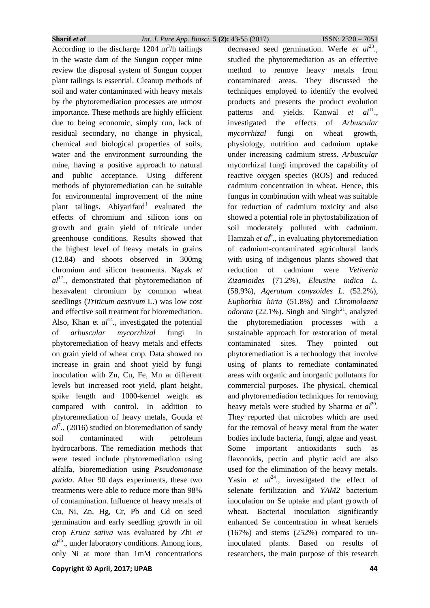According to the discharge  $1204 \text{ m}^3/\text{h}$  tailings in the waste dam of the Sungun copper mine review the disposal system of Sungun copper plant tailings is essential. Cleanup methods of soil and water contaminated with heavy metals by the phytoremediation processes are utmost importance. These methods are highly efficient due to being economic, simply run, lack of residual secondary, no change in physical, chemical and biological properties of soils, water and the environment surrounding the mine, having a positive approach to natural and public acceptance. Using different methods of phytoremediation can be suitable for environmental improvement of the mine plant tailings. Abiyarifard<sup>1</sup> evaluated the effects of chromium and silicon ions on growth and grain yield of triticale under greenhouse conditions. Results showed that the highest level of heavy metals in grains (12.84) and shoots observed in 300mg chromium and silicon treatments. Nayak *et al*<sup>17</sup> *.*, demonstrated that phytoremediation of hexavalent chromium by common wheat seedlings (*Triticum aestivum* L.) was low cost and effective soil treatment for bioremediation. Also, Khan et  $al^{14}$ , investigated the potential of *arbuscular mycorrhizal* fungi in phytoremediation of heavy metals and effects on grain yield of wheat crop. Data showed no increase in grain and shoot yield by fungi inoculation with Zn, Cu, Fe, Mn at different levels but increased root yield, plant height, spike length and 1000-kernel weight as compared with control. In addition to phytoremediation of heavy metals, Gouda *et*   $al^7$ ., (2016) studied on bioremediation of sandy soil contaminated with petroleum hydrocarbons. The remediation methods that were tested include phytoremediation using alfalfa, bioremediation using *Pseudomonase putida*. After 90 days experiments, these two treatments were able to reduce more than 98% of contamination. Influence of heavy metals of Cu, Ni, Zn, Hg, Cr, Pb and Cd on seed germination and early seedling growth in oil crop *Eruca sativa* was evaluated by Zhi *et*   $al^{25}$ . under laboratory conditions. Among ions, only Ni at more than 1mM concentrations

**Copyright © April, 2017; IJPAB 44**

decreased seed germination. Werle *et al*<sup>23</sup>., studied the phytoremediation as an effective method to remove heavy metals from contaminated areas. They discussed the techniques employed to identify the evolved products and presents the product evolution patterns and yields. Kanwal  $et \quad al^{11}$ . investigated the effects of *Arbuscular mycorrhizal* fungi on wheat growth, physiology, nutrition and cadmium uptake under increasing cadmium stress. *Arbuscular* mycorrhizal fungi improved the capability of reactive oxygen species (ROS) and reduced cadmium concentration in wheat. Hence, this fungus in combination with wheat was suitable for reduction of cadmium toxicity and also showed a potential role in phytostabilization of soil moderately polluted with cadmium. Hamzah et al<sup>9</sup>., in evaluating phytoremediation of cadmium-contaminated agricultural lands with using of indigenous plants showed that reduction of cadmium were *Vetiveria Zizanioides* (71.2%), *Eleusine indica L.*  (58.9%), *Ageratum conyzoides L.* (52.2%), *Euphorbia hirta* (51.8%) and *Chromolaena odorata* (22.1%). Singh and Singh<sup>21</sup>, analyzed the phytoremediation processes with a sustainable approach for restoration of metal contaminated sites. They pointed out phytoremediation is a technology that involve using of plants to remediate contaminated areas with organic and inorganic pollutants for commercial purposes. The physical, chemical and phytoremediation techniques for removing heavy metals were studied by Sharma *et al*<sup>20</sup>. They reported that microbes which are used for the removal of heavy metal from the water bodies include bacteria, fungi, algae and yeast. Some important antioxidants such as flavonoids, pectin and phytic acid are also used for the elimination of the heavy metals. Yasin *et al*<sup>24</sup>, investigated the effect of selenate fertilization and *YAM2* bacterium inoculation on Se uptake and plant growth of wheat. Bacterial inoculation significantly enhanced Se concentration in wheat kernels (167%) and stems (252%) compared to uninoculated plants. Based on results of researchers, the main purpose of this research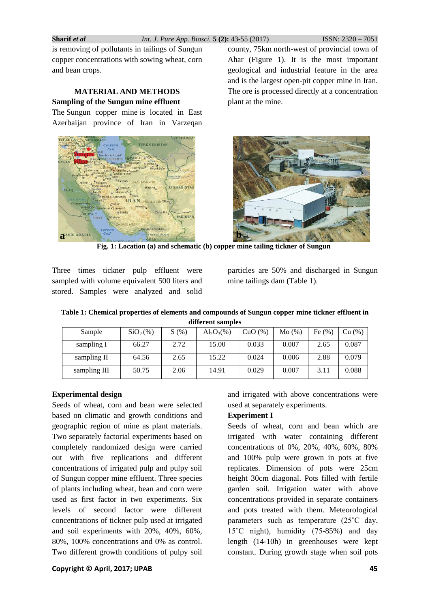is removing of pollutants in tailings of Sungun copper concentrations with sowing wheat, corn and bean crops.

### **MATERIAL AND METHODS Sampling of the Sungun mine effluent**

The Sungun copper mine is located in East Azerbaijan province of Iran in Varzeqan



county, 75km north-west of provincial town of Ahar (Figure 1). It is the most important geological and industrial feature in the area and is the largest open-pit copper mine in Iran. The ore is processed directly at a concentration plant at the mine.



**Fig. 1: Location (a) and schematic (b) copper mine tailing tickner of Sungun**

Three times tickner pulp effluent were sampled with volume equivalent 500 liters and stored. Samples were analyzed and solid particles are 50% and discharged in Sungun mine tailings dam (Table 1).

|  |  | Table 1: Chemical properties of elements and compounds of Sungun copper mine tickner effluent in |  |  |  |
|--|--|--------------------------------------------------------------------------------------------------|--|--|--|
|  |  | different samples                                                                                |  |  |  |

| Sample       | SiO <sub>2</sub> (% ) | S(%) | $Al_2O_3(\%)$ | CuO(%) | Mo(%) | Fe $(\% )$ | Cu (%) |
|--------------|-----------------------|------|---------------|--------|-------|------------|--------|
| sampling I   | 66.27                 | 2.72 | 15.00         | 0.033  | 0.007 | 2.65       | 0.087  |
| sampling II  | 64.56                 | 2.65 | 15.22         | 0.024  | 0.006 | 2.88       | 0.079  |
| sampling III | 50.75                 | 2.06 | 14.91         | 0.029  | 0.007 | 3.11       | 0.088  |

### **Experimental design**

Seeds of wheat, corn and bean were selected based on climatic and growth conditions and geographic region of mine as plant materials. Two separately factorial experiments based on completely randomized design were carried out with five replications and different concentrations of irrigated pulp and pulpy soil of Sungun copper mine effluent. Three species of plants including wheat, bean and corn were used as first factor in two experiments. Six levels of second factor were different concentrations of tickner pulp used at irrigated and soil experiments with 20%, 40%, 60%, 80%, 100% concentrations and 0% as control. Two different growth conditions of pulpy soil and irrigated with above concentrations were used at separately experiments.

# **Experiment I**

Seeds of wheat, corn and bean which are irrigated with water containing different concentrations of 0%, 20%, 40%, 60%, 80% and 100% pulp were grown in pots at five replicates. Dimension of pots were 25cm height 30cm diagonal. Pots filled with fertile garden soil. Irrigation water with above concentrations provided in separate containers and pots treated with them. Meteorological parameters such as temperature (25˚C day, 15˚C night), humidity (75-85%) and day length (14-10h) in greenhouses were kept constant. During growth stage when soil pots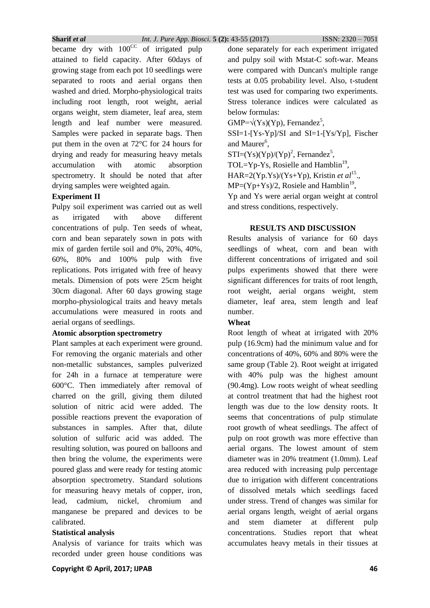became dry with  $100^{\text{CC}}$  of irrigated pulp attained to field capacity. After 60days of growing stage from each pot 10 seedlings were separated to roots and aerial organs then washed and dried. Morpho-physiological traits including root length, root weight, aerial organs weight, stem diameter, leaf area, stem length and leaf number were measured. Samples were packed in separate bags. Then put them in the oven at 72°C for 24 hours for drying and ready for measuring heavy metals accumulation with atomic absorption spectrometry. It should be noted that after drying samples were weighted again.

### **Experiment II**

Pulpy soil experiment was carried out as well as irrigated with above different concentrations of pulp. Ten seeds of wheat, corn and bean separately sown in pots with mix of garden fertile soil and 0%, 20%, 40%, 60%, 80% and 100% pulp with five replications. Pots irrigated with free of heavy metals. Dimension of pots were 25cm height 30cm diagonal. After 60 days growing stage morpho-physiological traits and heavy metals accumulations were measured in roots and aerial organs of seedlings.

### **Atomic absorption spectrometry**

Plant samples at each experiment were ground. For removing the organic materials and other non-metallic substances, samples pulverized for 24h in a furnace at temperature were 600°C. Then immediately after removal of charred on the grill, giving them diluted solution of nitric acid were added. The possible reactions prevent the evaporation of substances in samples. After that, dilute solution of sulfuric acid was added. The resulting solution, was poured on balloons and then bring the volume, the experiments were poured glass and were ready for testing atomic absorption spectrometry. Standard solutions for measuring heavy metals of copper, iron, lead, cadmium, nickel, chromium and manganese be prepared and devices to be calibrated.

#### **Statistical analysis**

Analysis of variance for traits which was recorded under green house conditions was

done separately for each experiment irrigated and pulpy soil with Mstat-C soft-war. Means were compared with Duncan's multiple range tests at 0.05 probability level. Also, t-student test was used for comparing two experiments. Stress tolerance indices were calculated as below formulas:

 $GMP=\sqrt{(Ys)(Yp)}$ , Fernandez<sup>5</sup>,

 $SSI=1-[Ys-Yp]/SI$  and  $SI=1-[Ys/Yp]$ , Fischer and Maurer<sup>6</sup>,

 $STI=(Ys)(Yp)/(Yp)^2$ , Fernandez<sup>5</sup>,

TOL=Yp-Ys, Rosielle and Hamblin<sup>19</sup>,

HAR=2(Yp.Ys)/(Ys+Yp), Kristin *et al*<sup>15</sup>.,

 $MP=(Yp+Ys)/2$ , Rosiele and Hamblin<sup>19</sup>,

Yp and Ys were aerial organ weight at control and stress conditions, respectively.

### **RESULTS AND DISCUSSION**

Results analysis of variance for 60 days seedlings of wheat, corn and bean with different concentrations of irrigated and soil pulps experiments showed that there were significant differences for traits of root length, root weight, aerial organs weight, stem diameter, leaf area, stem length and leaf number.

### **Wheat**

Root length of wheat at irrigated with 20% pulp (16.9cm) had the minimum value and for concentrations of 40%, 60% and 80% were the same group (Table 2). Root weight at irrigated with 40% pulp was the highest amount (90.4mg). Low roots weight of wheat seedling at control treatment that had the highest root length was due to the low density roots. It seems that concentrations of pulp stimulate root growth of wheat seedlings. The affect of pulp on root growth was more effective than aerial organs. The lowest amount of stem diameter was in 20% treatment (1.0mm). Leaf area reduced with increasing pulp percentage due to irrigation with different concentrations of dissolved metals which seedlings faced under stress. Trend of changes was similar for aerial organs length, weight of aerial organs and stem diameter at different pulp concentrations. Studies report that wheat accumulates heavy metals in their tissues at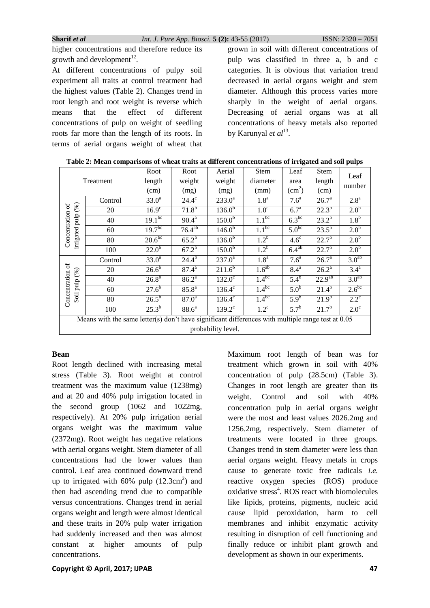higher concentrations and therefore reduce its growth and development $^{12}$ .

At different concentrations of pulpy soil experiment all traits at control treatment had the highest values (Table 2). Changes trend in root length and root weight is reverse which means that the effect of different concentrations of pulp on weight of seedling roots far more than the length of its roots. In terms of aerial organs weight of wheat that

grown in soil with different concentrations of pulp was classified in three a, b and c categories. It is obvious that variation trend decreased in aerial organs weight and stem diameter. Although this process varies more sharply in the weight of aerial organs. Decreasing of aerial organs was at all concentrations of heavy metals also reported by Karunyal *et al*<sup>13</sup>.

|                                                                                                                                           |                                                                                                           | Root               | Root              | Aerial             | Stem             | Leaf                   | <b>Stem</b>        | Leaf              |  |  |
|-------------------------------------------------------------------------------------------------------------------------------------------|-----------------------------------------------------------------------------------------------------------|--------------------|-------------------|--------------------|------------------|------------------------|--------------------|-------------------|--|--|
|                                                                                                                                           | Treatment                                                                                                 | length             | weight            | weight             | diameter         | area                   | length             | number            |  |  |
|                                                                                                                                           |                                                                                                           | (cm)               | (mg)              | (mg)               | (mm)             | $\text{(cm}^2\text{)}$ | (cm)               |                   |  |  |
|                                                                                                                                           | Control                                                                                                   | 33.0 <sup>a</sup>  | $24.4^\circ$      | $233.0^a$          | 1.8 <sup>a</sup> | 7.6 <sup>a</sup>       | 26.7 <sup>a</sup>  | 2.8 <sup>a</sup>  |  |  |
|                                                                                                                                           | 20                                                                                                        | 16.9 <sup>c</sup>  | $71.8^{b}$        | $136.0^{b}$        | 1.0 <sup>c</sup> | 6.7 <sup>a</sup>       | $22.3^{b}$         | 2.0 <sup>b</sup>  |  |  |
|                                                                                                                                           | 40                                                                                                        | $19.1^{bc}$        | $90.4^{\text{a}}$ | 150.0 <sup>b</sup> | $1.1^{bc}$       | $6.3^{bc}$             | $23.2^{b}$         | 1.8 <sup>b</sup>  |  |  |
| irrigated pulp (%)<br>Concentration of                                                                                                    | 60                                                                                                        | 19.7 <sup>bc</sup> | $76.4^{ab}$       | $146.0^{b}$        | $1.1^{bc}$       | 5.0 <sup>bc</sup>      | $23.5^{b}$         | 2.0 <sup>b</sup>  |  |  |
|                                                                                                                                           | 80                                                                                                        | $20.6^{bc}$        | $65.2^{b}$        | $136.0^{b}$        | 1.2 <sup>b</sup> | $4.6^\circ$            | $22.7^{b}$         | 2.0 <sup>b</sup>  |  |  |
|                                                                                                                                           | 100                                                                                                       | $22.0^{5}$         | $67.2^{b}$        | $150.0^{b}$        | 1.2 <sup>b</sup> | $6.4^{ab}$             | $22.7^{b}$         | 2.0 <sup>b</sup>  |  |  |
| 3.0 <sup>ab</sup><br>$24.4^{b}$<br>1.8 <sup>a</sup><br>33.0 <sup>a</sup><br>$237.0^a$<br>7.6 <sup>a</sup><br>26.7 <sup>a</sup><br>Control |                                                                                                           |                    |                   |                    |                  |                        |                    |                   |  |  |
| đ<br>1.6 <sup>ab</sup><br>$26.\overline{6}$<br>$3.4^{\circ}$<br>$87.4^{a}$<br>$211.6^{b}$<br>$8.4^{\mathrm{a}}$<br>$26.2^a$<br>20         |                                                                                                           |                    |                   |                    |                  |                        |                    |                   |  |  |
| Soil pulp (%)<br>Concentration                                                                                                            | 40                                                                                                        | $26.8^{b}$         | $86.2^{a}$        | $132.0^\circ$      | $1.4^{bc}$       | $5.4^b$                | 22.9 <sup>ab</sup> | 3.0 <sup>ab</sup> |  |  |
|                                                                                                                                           | $2.6^{bc}$<br>$1.4^{bc}$<br>$27.6^{b}$<br>5.0 <sup>b</sup><br>$85.8^{a}$<br>$21.4^{b}$<br>$136.4^c$<br>60 |                    |                   |                    |                  |                        |                    |                   |  |  |
|                                                                                                                                           | 80                                                                                                        | $26.5^{b}$         | 87.0 <sup>a</sup> | $136.4^c$          | $1.4^{bc}$       | $5.9^{b}$              | $21.9^{b}$         | $2.2^{\circ}$     |  |  |
| $25.3^{b}$<br>5.7 <sup>b</sup><br>$21.7^{b}$<br>88.6 <sup>a</sup><br>$2.0^\circ$<br>$1.2^{\circ}$<br>$139.2^{\circ}$<br>100               |                                                                                                           |                    |                   |                    |                  |                        |                    |                   |  |  |
| Means with the same letter(s) don't have significant differences with multiple range test at $0.05$                                       |                                                                                                           |                    |                   |                    |                  |                        |                    |                   |  |  |
|                                                                                                                                           | probability level.                                                                                        |                    |                   |                    |                  |                        |                    |                   |  |  |

| Table 2: Mean comparisons of wheat traits at different concentrations of irrigated and soil pulps |  |  |  |
|---------------------------------------------------------------------------------------------------|--|--|--|
|                                                                                                   |  |  |  |

# **Bean**

Root length declined with increasing metal stress (Table 3). Root weight at control treatment was the maximum value (1238mg) and at 20 and 40% pulp irrigation located in the second group (1062 and 1022mg, respectively). At 20% pulp irrigation aerial organs weight was the maximum value (2372mg). Root weight has negative relations with aerial organs weight. Stem diameter of all concentrations had the lower values than control. Leaf area continued downward trend up to irrigated with  $60\%$  pulp  $(12.3 \text{cm}^2)$  and then had ascending trend due to compatible versus concentrations. Changes trend in aerial organs weight and length were almost identical and these traits in 20% pulp water irrigation had suddenly increased and then was almost constant at higher amounts of pulp concentrations.

concentration of pulp (28.5cm) (Table 3). Changes in root length are greater than its weight. Control and soil with 40% concentration pulp in aerial organs weight were the most and least values 2026.2mg and 1256.2mg, respectively. Stem diameter of treatments were located in three groups. Changes trend in stem diameter were less than aerial organs weight. Heavy metals in crops cause to generate toxic free radicals *i.e.* reactive oxygen species (ROS) produce oxidative stress<sup>4</sup>. ROS react with biomolecules like lipids, proteins, pigments, nucleic acid cause lipid peroxidation, harm to cell membranes and inhibit enzymatic activity resulting in disruption of cell functioning and finally reduce or inhibit plant growth and development as shown in our experiments.

Maximum root length of bean was for treatment which grown in soil with 40%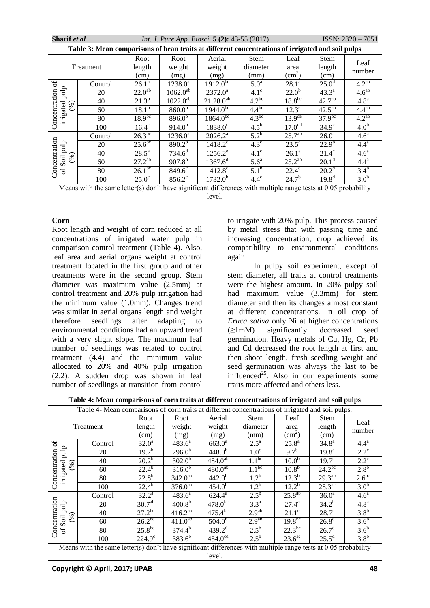| Sharif et al                                                                                                                                                      |                                                                                                                |                        | <i>Int. J. Pure App. Biosci.</i> 5 (2): 43-55 (2017) |                                      | $ISSN: 2320 - 7051$ |                         |                        |                   |  |
|-------------------------------------------------------------------------------------------------------------------------------------------------------------------|----------------------------------------------------------------------------------------------------------------|------------------------|------------------------------------------------------|--------------------------------------|---------------------|-------------------------|------------------------|-------------------|--|
|                                                                                                                                                                   | Table 3: Mean comparisons of bean traits at different concentrations of irrigated and soil pulps               |                        |                                                      |                                      |                     |                         |                        |                   |  |
|                                                                                                                                                                   |                                                                                                                | Root                   | Root                                                 | Aerial                               | <b>Stem</b>         | Leaf                    | <b>Stem</b>            | Leaf              |  |
|                                                                                                                                                                   | Treatment                                                                                                      | length                 | weight                                               | weight                               | diameter            | area                    | length                 | number            |  |
|                                                                                                                                                                   |                                                                                                                | (cm)                   | (mg)                                                 | (mg)                                 | (mm)                | $\text{ (cm}^2\text{)}$ | (cm)                   |                   |  |
| ð                                                                                                                                                                 | Control                                                                                                        | $26.1^a$               | $1238.0^a$                                           | $1912.0^{bc}$<br>5.0 <sup>a</sup>    |                     | $28.1^a$                | 25.0 <sup>d</sup>      | $4.2^{ab}$        |  |
|                                                                                                                                                                   | 20                                                                                                             | $22.\overline{0^{ab}}$ | $1062.0^{ab}$                                        | $2372.0^a$                           | $4.1^\circ$         | $22.0^b$                | $43.3^a$               | 4.6 <sup>ab</sup> |  |
| (96)                                                                                                                                                              | 40                                                                                                             | $21.3^{b}$             | $1022.0^{a\overline{b}}$                             | $21.28.0^{\overline{a}\overline{b}}$ | $4.2^{bc}$          | $18.8^{bc}$             | 42.7 <sup>ab</sup>     | 4.8 <sup>a</sup>  |  |
|                                                                                                                                                                   | 60                                                                                                             | $18.1^{b}$             | $860.0^{5}$                                          | $1944.0^{bc}$                        | $4.4^{bc}$          | $12.3^e$                | $42.\overline{5^{ab}}$ | $4.4^{ab}$        |  |
| irrigated pulp<br>Concentration                                                                                                                                   | 80                                                                                                             | $18.9^{bc}$            | $896.\overline{0^{b}}$                               | $1864.0^{bc}$                        | $4.3^{bc}$          | 13.9 <sup>de</sup>      | $37.9^{bc}$            | $4.2^{ab}$        |  |
|                                                                                                                                                                   | 100                                                                                                            | $16.4^\circ$           | $914.0^{6}$                                          | $1838.0^{\circ}$                     | $4.5^{\rm b}$       | 17.0 <sup>cd</sup>      | $34.9^\circ$           | 4.0 <sup>b</sup>  |  |
| $26.\overline{3^{bc}}$<br>25.7 <sup>ab</sup><br>$5.2^{\rm b}$<br>$1236.0^a$<br>$2026.2^a$<br>26.0 <sup>a</sup><br>Control                                         |                                                                                                                |                        |                                                      |                                      |                     |                         |                        | 4.6 <sup>a</sup>  |  |
| $25.\overline{6}^{\overline{bc}}$<br>$22.9^{b}$<br>$890.2^{b}$<br>$4.3^\circ$<br>$23.5^{\circ}$<br>$1418.2^{\circ}$<br>$4.4^{\rm a}$<br>20                        |                                                                                                                |                        |                                                      |                                      |                     |                         |                        |                   |  |
| Concentration<br>Soil pulp<br>$734.6^{\overline{d}}$<br>$28.5^{\rm a}$<br>$4.1^\circ$<br>$21.4^\circ$<br>$1256.2^e$<br>$26.1^a$<br>4.6 <sup>a</sup><br>40<br>(96) |                                                                                                                |                        |                                                      |                                      |                     |                         |                        |                   |  |
|                                                                                                                                                                   | 60                                                                                                             | $27.\overline{2^{ab}}$ | $907.8^{b}$                                          | $1367.6^{d}$                         | 5.6 <sup>a</sup>    | $25.\overline{2^{ab}}$  | $20.1^d$               | 4.4 <sup>a</sup>  |  |
| $\sigma$                                                                                                                                                          | 80                                                                                                             | $26.\overline{1^{bc}}$ | $849.6^{\circ}$                                      | $1412.8^{\circ}$                     | $5.1^{\rm b}$       | $22.4^{\overline{d}}$   | $20.2^d$               | $3.4^{b}$         |  |
|                                                                                                                                                                   | 100                                                                                                            | $25.0^\circ$           | $856.2^{\circ}$                                      | $1732.0^{b}$                         | $4.4^\circ$         | $24.7^{b}$              | $19.8^{d}$             | 3.0 <sup>b</sup>  |  |
|                                                                                                                                                                   | Means with the same letter(s) don't have significant differences with multiple range tests at 0.05 probability |                        |                                                      |                                      |                     |                         |                        |                   |  |
|                                                                                                                                                                   | level.                                                                                                         |                        |                                                      |                                      |                     |                         |                        |                   |  |

# **Corn**

Root length and weight of corn reduced at all concentrations of irrigated water pulp in comparison control treatment (Table 4). Also, leaf area and aerial organs weight at control treatment located in the first group and other treatments were in the second group. Stem diameter was maximum value (2.5mm) at control treatment and 20% pulp irrigation had the minimum value (1.0mm). Changes trend was similar in aerial organs length and weight therefore seedlings after adapting to environmental conditions had an upward trend with a very slight slope. The maximum leaf number of seedlings was related to control treatment (4.4) and the minimum value allocated to 20% and 40% pulp irrigation (2.2). A sudden drop was shown in leaf number of seedlings at transition from control

to irrigate with 20% pulp. This process caused by metal stress that with passing time and increasing concentration, crop achieved its compatibility to environmental conditions again.

In pulpy soil experiment, except of stem diameter, all traits at control treatments were the highest amount. In 20% pulpy soil had maximum value (3.3mm) for stem diameter and then its changes almost constant at different concentrations. In oil crop of *Eruca sativa* only Ni at higher concentrations (≥1mM) significantly decreased seed germination. Heavy metals of Cu, Hg, Cr, Pb and Cd decreased the root length at first and then shoot length, fresh seedling weight and seed germination was always the last to be influenced<sup>25</sup>. Also in our experiments some traits more affected and others less.

**Table 4: Mean comparisons of corn traits at different concentrations of irrigated and soil pulps**

|                                                                                                                                | Table 4- Mean comparisons of corn traits at different concentrations of irrigated and soil pulps.                                            |                   |                        |                        |                    |                       |                       |                  |  |  |  |
|--------------------------------------------------------------------------------------------------------------------------------|----------------------------------------------------------------------------------------------------------------------------------------------|-------------------|------------------------|------------------------|--------------------|-----------------------|-----------------------|------------------|--|--|--|
|                                                                                                                                |                                                                                                                                              | Root              | Root                   | Aerial                 | <b>Stem</b>        | Leaf                  | <b>Stem</b>           |                  |  |  |  |
|                                                                                                                                | Treatment                                                                                                                                    | length            | weight                 | weight                 | diameter           | area                  | length                | Leaf<br>number   |  |  |  |
|                                                                                                                                |                                                                                                                                              | (cm)              | (mg)                   | (mg)                   | (mm)               | (cm <sup>2</sup> )    | (cm)                  |                  |  |  |  |
| ď                                                                                                                              | Control                                                                                                                                      | 32.0 <sup>a</sup> | $483.6^{\overline{a}}$ | $663.0^{\overline{a}}$ | $2.5^{\mathrm{a}}$ | $25.8^{\overline{a}}$ | 34.8 <sup>a</sup>     | $4.4^a$          |  |  |  |
| pulp                                                                                                                           | 20                                                                                                                                           | $19.7^{b}$        | $296.0^{5}$            | $448.0^{b}$            | 1.0 <sup>c</sup>   | 9.7 <sup>b</sup>      | $19.8^\circ$          | $2.2^{\circ}$    |  |  |  |
| (%)                                                                                                                            | 40                                                                                                                                           | $20.2^{b}$        | $302.0^{5}$            | $484.0^{ab}$           | $1.1^{bc}$         | 10.0 <sup>b</sup>     | $19.7^\circ$          | $2.2^{\circ}$    |  |  |  |
| Concentration<br>irrigated                                                                                                     | 60                                                                                                                                           | $22.4^{b}$        | $316.0^{b}$            | $480.0^{ab}$           | $1.1^{bc}$         | $10.8^{b}$            | $24.2^{bc}$           | 2.8 <sup>b</sup> |  |  |  |
|                                                                                                                                | 80                                                                                                                                           | $22.8^{b}$        | $342.0^{ab}$           | $442.0^{b}$            | 1.2 <sup>b</sup>   | $12.\overline{3^{b}}$ | $29.3^{ab}$           | $2.6^{bc}$       |  |  |  |
|                                                                                                                                | 100                                                                                                                                          | $22.4^{b}$        | $376.0^{ab}$           | $454.0^{b}$            | 1.2 <sup>b</sup>   | $12.2^{b}$            | $28.3^{\text{ac}}$    | 3.0 <sup>b</sup> |  |  |  |
| $25.8^{ab}$<br>$2.5^{\rm b}$<br>$32.2^a$<br>$483.6^a$<br>$624.4^{\rm a}$<br>36.0 <sup>a</sup><br>4.6 <sup>a</sup><br>Control   |                                                                                                                                              |                   |                        |                        |                    |                       |                       |                  |  |  |  |
|                                                                                                                                | pulp<br>30.7 <sup>ab</sup><br>$478.0^{bc}$<br>400.8 <sup>b</sup><br>$34.2^{b}$<br>$3.3^{\circ}$<br>$27.4^{\rm a}$<br>4.8 <sup>a</sup><br>20  |                   |                        |                        |                    |                       |                       |                  |  |  |  |
|                                                                                                                                | Concentration<br>$27.2^{bc}$<br>2.9 <sup>ab</sup><br>$416.2^{ab}$<br>$475.4^{bc}$<br>3.8 <sup>b</sup><br>$28.7^\circ$<br>$21.1^\circ$<br>40  |                   |                        |                        |                    |                       |                       |                  |  |  |  |
|                                                                                                                                | (%)<br>Soil<br>$26.2^{bc}$<br>2.9 <sup>ab</sup><br>$19.8^{bc}$<br>$411.0^{ab}$<br>26.8 <sup>d</sup><br>$504.0^{b}$<br>3.6 <sup>b</sup><br>60 |                   |                        |                        |                    |                       |                       |                  |  |  |  |
| $\sigma$                                                                                                                       | 80                                                                                                                                           | $25.8^{bc}$       | $374.4^{b}$            | $439.2^{\overline{d}}$ | $2.5^{b}$          | $22.3^{bc}$           | $26.7^{\overline{d}}$ | 3.6 <sup>b</sup> |  |  |  |
| $383.6^{b}$<br>$2.5^{\rm b}$<br>$25.5^d$<br>3.8 <sup>b</sup><br>$454.0^{cd}$<br>$23.6^{\mathrm{ac}}$<br>$224.9^{\circ}$<br>100 |                                                                                                                                              |                   |                        |                        |                    |                       |                       |                  |  |  |  |
| Means with the same letter(s) don't have significant differences with multiple range tests at 0.05 probability                 |                                                                                                                                              |                   |                        |                        |                    |                       |                       |                  |  |  |  |
|                                                                                                                                | level.                                                                                                                                       |                   |                        |                        |                    |                       |                       |                  |  |  |  |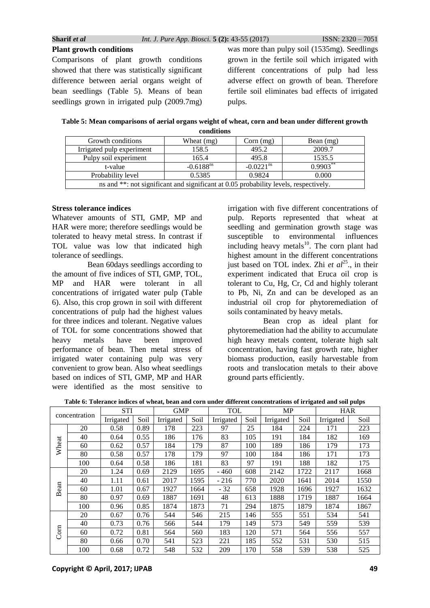**Plant growth conditions** Comparisons of plant growth conditions showed that there was statistically significant difference between aerial organs weight of bean seedlings (Table 5). Means of bean seedlings grown in irrigated pulp (2009.7mg)

was more than pulpy soil (1535mg). Seedlings grown in the fertile soil which irrigated with different concentrations of pulp had less adverse effect on growth of bean. Therefore fertile soil eliminates bad effects of irrigated pulps.

**Table 5: Mean comparisons of aerial organs weight of wheat, corn and bean under different growth conditions**

|                                                                                      | congnons   |             |             |  |  |  |  |  |
|--------------------------------------------------------------------------------------|------------|-------------|-------------|--|--|--|--|--|
| Growth conditions                                                                    | Wheat (mg) | $Corn$ (mg) | Bean $(mg)$ |  |  |  |  |  |
| Irrigated pulp experiment                                                            | 158.5      | 495.2       | 2009.7      |  |  |  |  |  |
| Pulpy soil experiment                                                                | 165.4      | 495.8       | 1535.5      |  |  |  |  |  |
| $0.9903***$<br>$-0.0221$ <sup>ns</sup><br>$-0.6188$ <sup>ns</sup><br>t-value         |            |             |             |  |  |  |  |  |
| 0.9824<br>Probability level<br>0.5385<br>0.000                                       |            |             |             |  |  |  |  |  |
| ns and **: not significant and significant at 0.05 probability levels, respectively. |            |             |             |  |  |  |  |  |

#### **Stress tolerance indices**

Whatever amounts of STI, GMP, MP and HAR were more; therefore seedlings would be tolerated to heavy metal stress. In contrast if TOL value was low that indicated high tolerance of seedlings.

Bean 60days seedlings according to the amount of five indices of STI, GMP, TOL, MP and HAR were tolerant in all concentrations of irrigated water pulp (Table 6). Also, this crop grown in soil with different concentrations of pulp had the highest values for three indices and tolerant. Negative values of TOL for some concentrations showed that heavy metals have been improved performance of bean. Then metal stress of irrigated water containing pulp was very convenient to grow bean. Also wheat seedlings based on indices of STI, GMP, MP and HAR were identified as the most sensitive to

irrigation with five different concentrations of pulp. Reports represented that wheat at seedling and germination growth stage was susceptible to environmental influences including heavy metals $10$ . The corn plant had highest amount in the different concentrations just based on TOL index. Zhi *et al*<sup>25</sup>, in their experiment indicated that Eruca oil crop is tolerant to Cu, Hg, Cr, Cd and highly tolerant to Pb, Ni, Zn and can be developed as an industrial oil crop for phytoremediation of soils contaminated by heavy metals.

Bean crop as ideal plant for phytoremediation had the ability to accumulate high heavy metals content, tolerate high salt concentration, having fast growth rate, higher biomass production, easily harvestable from roots and translocation metals to their above ground parts efficiently.

**Table 6: Tolerance indices of wheat, bean and corn under different concentrations of irrigated and soil pulps**

|       |               | <b>STI</b> |      | <b>GMP</b> |      | <b>TOL</b> |      | <b>MP</b> |      | <b>HAR</b> |      |
|-------|---------------|------------|------|------------|------|------------|------|-----------|------|------------|------|
|       | concentration | Irrigated  | Soil | Irrigated  | Soil | Irrigated  | Soil | Irrigated | Soil | Irrigated  | Soil |
|       | 20            | 0.58       | 0.89 | 178        | 223  | 97         | 25   | 184       | 224  | 171        | 223  |
|       | 40            | 0.64       | 0.55 | 186        | 176  | 83         | 105  | 191       | 184  | 182        | 169  |
| Wheat | 60            | 0.62       | 0.57 | 184        | 179  | 87         | 100  | 189       | 186  | 179        | 173  |
|       | 80            | 0.58       | 0.57 | 178        | 179  | 97         | 100  | 184       | 186  | 171        | 173  |
|       | 100           | 0.64       | 0.58 | 186        | 181  | 83         | 97   | 191       | 188  | 182        | 175  |
|       | 20            | 1.24       | 0.69 | 2129       | 1695 | $-460$     | 608  | 2142      | 1722 | 2117       | 1668 |
|       | 40            | 1.11       | 0.61 | 2017       | 1595 | $-216$     | 770  | 2020      | 1641 | 2014       | 1550 |
| Bean  | 60            | 1.01       | 0.67 | 1927       | 1664 | $-32$      | 658  | 1928      | 1696 | 1927       | 1632 |
|       | 80            | 0.97       | 0.69 | 1887       | 1691 | 48         | 613  | 1888      | 1719 | 1887       | 1664 |
|       | 100           | 0.96       | 0.85 | 1874       | 1873 | 71         | 294  | 1875      | 1879 | 1874       | 1867 |
|       | 20            | 0.67       | 0.76 | 544        | 546  | 215        | 146  | 555       | 551  | 534        | 541  |
|       | 40            | 0.73       | 0.76 | 566        | 544  | 179        | 149  | 573       | 549  | 559        | 539  |
| Com   | 60            | 0.72       | 0.81 | 564        | 560  | 183        | 120  | 571       | 564  | 556        | 557  |
|       | 80            | 0.66       | 0.70 | 541        | 523  | 221        | 185  | 552       | 531  | 530        | 515  |
|       | 100           | 0.68       | 0.72 | 548        | 532  | 209        | 170  | 558       | 539  | 538        | 525  |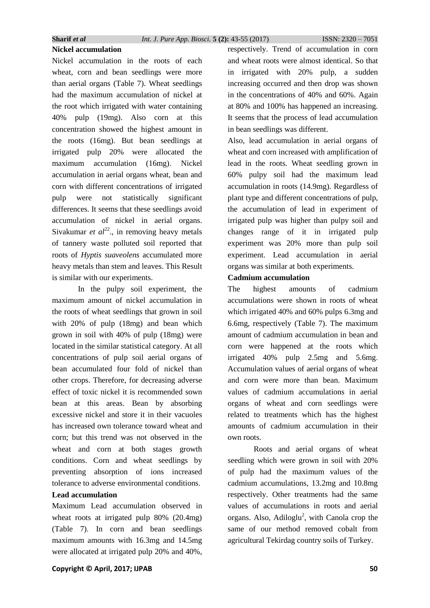# **Nickel accumulation**

Nickel accumulation in the roots of each wheat, corn and bean seedlings were more than aerial organs (Table 7). Wheat seedlings had the maximum accumulation of nickel at the root which irrigated with water containing 40% pulp (19mg). Also corn at this concentration showed the highest amount in the roots (16mg). But bean seedlings at irrigated pulp 20% were allocated the maximum accumulation (16mg). Nickel accumulation in aerial organs wheat, bean and corn with different concentrations of irrigated pulp were not statistically significant differences. It seems that these seedlings avoid accumulation of nickel in aerial organs. Sivakumar *et*  $al^{22}$ , in removing heavy metals of tannery waste polluted soil reported that roots of *Hyptis suaveolens* accumulated more heavy metals than stem and leaves. This Result is similar with our experiments.

In the pulpy soil experiment, the maximum amount of nickel accumulation in the roots of wheat seedlings that grown in soil with 20% of pulp (18mg) and bean which grown in soil with 40% of pulp (18mg) were located in the similar statistical category. At all concentrations of pulp soil aerial organs of bean accumulated four fold of nickel than other crops. Therefore, for decreasing adverse effect of toxic nickel it is recommended sown bean at this areas. Bean by absorbing excessive nickel and store it in their vacuoles has increased own tolerance toward wheat and corn; but this trend was not observed in the wheat and corn at both stages growth conditions. Corn and wheat seedlings by preventing absorption of ions increased tolerance to adverse environmental conditions.

# **Lead accumulation**

Maximum Lead accumulation observed in wheat roots at irrigated pulp 80% (20.4mg) (Table 7). In corn and bean seedlings maximum amounts with 16.3mg and 14.5mg were allocated at irrigated pulp 20% and 40%, respectively. Trend of accumulation in corn and wheat roots were almost identical. So that in irrigated with 20% pulp, a sudden increasing occurred and then drop was shown in the concentrations of 40% and 60%. Again at 80% and 100% has happened an increasing. It seems that the process of lead accumulation in bean seedlings was different.

Also, lead accumulation in aerial organs of wheat and corn increased with amplification of lead in the roots. Wheat seedling grown in 60% pulpy soil had the maximum lead accumulation in roots (14.9mg). Regardless of plant type and different concentrations of pulp, the accumulation of lead in experiment of irrigated pulp was higher than pulpy soil and changes range of it in irrigated pulp experiment was 20% more than pulp soil experiment. Lead accumulation in aerial organs was similar at both experiments.

#### **Cadmium accumulation**

The highest amounts of cadmium accumulations were shown in roots of wheat which irrigated 40% and 60% pulps 6.3mg and 6.6mg, respectively (Table 7). The maximum amount of cadmium accumulation in bean and corn were happened at the roots which irrigated 40% pulp 2.5mg and 5.6mg. Accumulation values of aerial organs of wheat and corn were more than bean. Maximum values of cadmium accumulations in aerial organs of wheat and corn seedlings were related to treatments which has the highest amounts of cadmium accumulation in their own roots.

Roots and aerial organs of wheat seedling which were grown in soil with 20% of pulp had the maximum values of the cadmium accumulations, 13.2mg and 10.8mg respectively. Other treatments had the same values of accumulations in roots and aerial organs. Also, Adiloglu<sup>2</sup>, with Canola crop the same of our method removed cobalt from agricultural Tekirdag country soils of Turkey.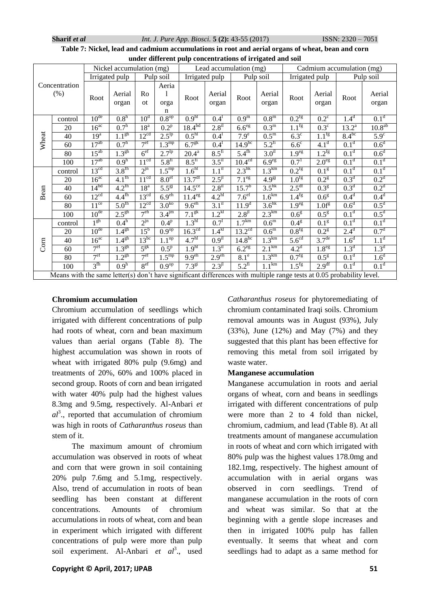| Table 7: Nickel, lead and cadmium accumulations in root and aerial organs of wheat, bean and corn |                                                                             |  |  |
|---------------------------------------------------------------------------------------------------|-----------------------------------------------------------------------------|--|--|
|                                                                                                   | The bro-bedieview of conservations of the dealers in real to the resolution |  |  |

|                                                                                                                                                                                                                                                    | under different pulp concentrations of irrigated and soil                                                                                                                                                                                    |                  |                          |                  |                                   |                        |                        |                        |                       |                     |                           |                  |                  |
|----------------------------------------------------------------------------------------------------------------------------------------------------------------------------------------------------------------------------------------------------|----------------------------------------------------------------------------------------------------------------------------------------------------------------------------------------------------------------------------------------------|------------------|--------------------------|------------------|-----------------------------------|------------------------|------------------------|------------------------|-----------------------|---------------------|---------------------------|------------------|------------------|
|                                                                                                                                                                                                                                                    |                                                                                                                                                                                                                                              |                  | Nickel accumulation (mg) |                  |                                   |                        | Lead accumulation (mg) |                        |                       |                     | Cadmium accumulation (mg) |                  |                  |
|                                                                                                                                                                                                                                                    |                                                                                                                                                                                                                                              |                  | Irrigated pulp           |                  | Pulp soil                         |                        | Irrigated pulp         |                        | Pulp soil             | Irrigated pulp      |                           |                  | Pulp soil        |
|                                                                                                                                                                                                                                                    | Concentration<br>$(\%)$                                                                                                                                                                                                                      | Root             | Aerial<br>organ          | Ro<br>ot         | Aeria<br>1<br>orga<br>$\mathbf n$ | Root                   | Aerial<br>organ        | Root                   | Aerial<br>organ       | Root                | Aerial<br>organ           | Root             | Aerial<br>organ  |
|                                                                                                                                                                                                                                                    | control                                                                                                                                                                                                                                      | 10 <sup>de</sup> | 0.8 <sup>h</sup>         | 10 <sup>d</sup>  | $0.8^{\text{op}}$                 | 0.9 <sup>h1</sup>      | $0.4^1$                | 0.9 <sup>m</sup>       | 0.8 <sup>m</sup>      | $0.2^{\text{fg}}$   | $0.2^{\circ}$             | 1.4 <sup>d</sup> | 0.1 <sup>d</sup> |
|                                                                                                                                                                                                                                                    | 20                                                                                                                                                                                                                                           | $16^{ac}$        | 0.7 <sup>h</sup>         | 18 <sup>a</sup>  | $0.2^p$                           | 18.4 <sup>bd</sup>     | 2.8 <sup>il</sup>      | 6.6 <sup>eg</sup>      | $0.3^{\rm m}$         | 1.1 <sup>fg</sup>   | $0.3^{\circ}$             | $13.2^{\rm a}$   | $10.8^{ab}$      |
|                                                                                                                                                                                                                                                    | 40                                                                                                                                                                                                                                           | 19 <sup>a</sup>  | 1.1 <sup>gh</sup>        | 12 <sup>cd</sup> | $2.5^{lp}$                        | 0.5 <sup>h1</sup>      | $0.4^1$                | $7.9^e$                | $0.5^{\rm m}$         | $6.3^\circ$         | $1.1^{\overline{fg}}$     | $8.4^{bc}$       | $5.9^\circ$      |
| Wheat                                                                                                                                                                                                                                              | 60                                                                                                                                                                                                                                           | $17^{ab}$        | 0.7 <sup>h</sup>         | 7 <sup>ef</sup>  | $1.\overline{3^{mp}}$             | 6.7 <sup>gk</sup>      | $0.4^1$                | $14.9^{bc}$            | $5.2^{fi}$            | $6.6^{\circ}$       | 4.1 <sup>d</sup>          | 0.1 <sup>d</sup> | 0.6 <sup>d</sup> |
|                                                                                                                                                                                                                                                    | 80                                                                                                                                                                                                                                           | $15^{ab}$        | $1.3^{gh}$               | 6 <sup>ef</sup>  | $2.7^{\overline{lp}}$             | $20.4^{\overline{a}}$  | $8.5^{f_1}$            | $5.4^{\text{fh}}$      | 3.0 <sup>11</sup>     | 1.9 <sup>eg</sup>   | $1.2$ <sup>fg</sup>       | 0.1 <sup>d</sup> | 0.6 <sup>d</sup> |
|                                                                                                                                                                                                                                                    | 100                                                                                                                                                                                                                                          | $17^{ab}$        | 0.9 <sup>h</sup>         | $11^{cd}$        | $5.8^{f_1}$                       | $8.5^{\rm fi}$         | 3.5 <sup>il</sup>      | $10.\overline{4^{cd}}$ | 6.9 <sup>eg</sup>     | $0.7^{1}$           | 2.0 <sup>eg</sup>         | 0.1 <sup>d</sup> | 0.1 <sup>d</sup> |
|                                                                                                                                                                                                                                                    | control                                                                                                                                                                                                                                      | 13 <sup>cd</sup> | $3.8^{\text{fh}}$        | $2^{jn}$         | $1.5^{\text{mp}}$                 | $1.\overline{6^{h1}}$  | 1.1 <sup>il</sup>      | $2.3^{hk}$             | 1.3 <sup>km</sup>     | $0.2$ <sup>fg</sup> | 0.1 <sup>g</sup>          | 0.1 <sup>d</sup> | 0.1 <sup>d</sup> |
|                                                                                                                                                                                                                                                    | 20                                                                                                                                                                                                                                           | $16^{ac}$        | $4.1^{\text{fh}}$        | $11^{cd}$        | 8.0 <sup>ef</sup>                 | 13.7 <sup>df</sup>     | $2.5^{jl}$             | 7.1 <sup>eg</sup>      | $4.9^{g}$             | 1.0 <sup>fg</sup>   | 0.2 <sup>g</sup>          | 0.3 <sup>d</sup> | 0.2 <sup>d</sup> |
| Bean                                                                                                                                                                                                                                               | 40                                                                                                                                                                                                                                           | 14 <sup>bd</sup> | $4.2^{\text{fh}}$        | 18 <sup>a</sup>  | $5.5^{g}$                         | $14.5^{\circ}$         | $2.8^{\rm il}$         | $15.7^{\rm b}$         | $3.5^{\rm hk}$        | 2.5 <sup>df</sup>   | 0.3 <sup>g</sup>          | 0.3 <sup>d</sup> | 0.2 <sup>d</sup> |
| 12 <sup>cd</sup><br>$4.4^{\text{fh}}$<br>$13^{cd}$<br>6.9 <sup>eh</sup><br>4.2 <sup>h1</sup><br>0.4 <sup>d</sup><br>7.6 <sup>ef</sup><br>1.6 <sup>km</sup><br>0.4 <sup>d</sup><br>1.4 <sup>fg</sup><br>$11.4^{eg}$<br>0.6 <sup>g</sup><br>60       |                                                                                                                                                                                                                                              |                  |                          |                  |                                   |                        |                        |                        |                       |                     |                           |                  |                  |
|                                                                                                                                                                                                                                                    | $3.6^{hk}$<br>0.5 <sup>d</sup><br>11 <sup>ce</sup><br>$5.0^{\text{fh}}$<br>12 <sup>cd</sup><br>$3.0^{k0}$<br>9.6 <sup>eh</sup><br>3.1 <sup>il</sup><br>11.9 <sup>d</sup><br>0.6 <sup>d</sup><br>1.9 <sup>eg</sup><br>1.0f <sup>g</sup><br>80 |                  |                          |                  |                                   |                        |                        |                        |                       |                     |                           |                  |                  |
| 7 <sup>eh</sup><br>1.2 <sup>kl</sup><br>0.5 <sup>d</sup><br>10 <sup>de</sup><br>3.4 <sup>jm</sup><br>7.1 <sup>g</sup> k<br>0.1 <sup>d</sup><br>2.5 <sup>gh</sup><br>$2.8^{j1}$<br>2.3 <sup>km</sup><br>0.5 <sup>g</sup><br>0.6 <sup>g</sup><br>100 |                                                                                                                                                                                                                                              |                  |                          |                  |                                   |                        |                        |                        |                       |                     |                           |                  |                  |
|                                                                                                                                                                                                                                                    | control                                                                                                                                                                                                                                      | 1 <sup>gh</sup>  | $0.4^h$                  | $2^{jn}$         | 0.4 <sup>p</sup>                  | 1.3 <sup>hl</sup>      | $0.7^{1}$              | 1.7 <sup>km</sup>      | $0.6^{\rm m}$         | 0.4 <sup>g</sup>    | 0.1 <sup>g</sup>          | 0.1 <sup>d</sup> | 0.1 <sup>d</sup> |
|                                                                                                                                                                                                                                                    | 20                                                                                                                                                                                                                                           | 10 <sup>de</sup> | 1.4 <sup>gh</sup>        | $15^{\rm b}$     | $0.9^{\text{op}}$                 | $16.3^{\overline{cd}}$ | 1.4 <sup>kl</sup>      | $13.2^{\overline{cd}}$ | $0.6^{\rm m}$         | 0.8 <sup>fg</sup>   | 0.2 <sup>g</sup>          | $2.4^d$          | 0.7 <sup>d</sup> |
| Com                                                                                                                                                                                                                                                | 40                                                                                                                                                                                                                                           | $16^{ac}$        | 1.4 <sup>gh</sup>        | $13^{bc}$        | 1.1 <sup>np</sup>                 | 4.7 <sup>h1</sup>      | 0.9 <sup>il</sup>      | $14.8^{bc}$            | 1.3 <sup>km</sup>     | $5.6^{\text{cd}}$   | 3.7 <sup>de</sup>         | 1.6 <sup>d</sup> | 1.1 <sup>d</sup> |
|                                                                                                                                                                                                                                                    | 60                                                                                                                                                                                                                                           | 7 <sup>ef</sup>  | 1.3 <sup>gh</sup>        | $5^{g k}$        | $0.5^{\rm p}$                     | 1.9 <sup>h1</sup>      | 1.3 <sup>il</sup>      | 6.2 <sup>eg</sup>      | $2.\overline{1^{km}}$ | 4.2 <sup>d</sup>    | 1.8 <sup>eg</sup>         | 1.3 <sup>d</sup> | 1.3 <sup>d</sup> |
|                                                                                                                                                                                                                                                    | 80                                                                                                                                                                                                                                           | 7 <sup>ef</sup>  | 1.2 <sup>gh</sup>        | 7 <sup>ef</sup>  | $1.5^{mp}$                        | 9.9 <sup>eh</sup>      | 2.9 <sup>eh</sup>      | 8.1 <sup>e</sup>       | 1.3 <sup>km</sup>     | 0.7 <sup>fg</sup>   | 0.5 <sup>g</sup>          | 0.1 <sup>d</sup> | 1.6 <sup>d</sup> |
|                                                                                                                                                                                                                                                    | 100                                                                                                                                                                                                                                          | 3 <sup>th</sup>  | 0.9 <sup>h</sup>         | 8 <sup>ef</sup>  | 0.9 <sup>op</sup>                 | 7.3 <sup>gi</sup>      | $2.3^{jl}$             | $5.2^{f_1}$            | 1.1 <sup>km</sup>     | $1.5$ <sup>fg</sup> | 2.9 <sup>df</sup>         | 0.1 <sup>d</sup> | 0.1 <sup>d</sup> |
|                                                                                                                                                                                                                                                    | Means with the same letter(s) don't have significant differences with multiple range tests at 0.05 probability level.                                                                                                                        |                  |                          |                  |                                   |                        |                        |                        |                       |                     |                           |                  |                  |

#### **Chromium accumulation**

Chromium accumulation of seedlings which irrigated with different concentrations of pulp had roots of wheat, corn and bean maximum values than aerial organs (Table 8). The highest accumulation was shown in roots of wheat with irrigated 80% pulp (9.6mg) and treatments of 20%, 60% and 100% placed in second group. Roots of corn and bean irrigated with water 40% pulp had the highest values 8.3mg and 9.5mg, respectively. Al-Anbari *et*   $al^3$ ., reported that accumulation of chromium was high in roots of *Catharanthus roseus* than stem of it.

 The maximum amount of chromium accumulation was observed in roots of wheat and corn that were grown in soil containing 20% pulp 7.6mg and 5.1mg, respectively. Also, trend of accumulation in roots of bean seedling has been constant at different concentrations. Amounts of chromium accumulations in roots of wheat, corn and bean in experiment which irrigated with different concentrations of pulp were more than pulp soil experiment. Al-Anbari *et al*<sup>3</sup>, used

**Copyright © April, 2017; IJPAB 51** 

*Catharanthus roseus* for phytoremediating of chromium contaminated Iraqi soils. Chromium removal amounts was in August (93%), July (33%), June (12%) and May (7%) and they suggested that this plant has been effective for removing this metal from soil irrigated by waste water.

#### **Manganese accumulation**

Manganese accumulation in roots and aerial organs of wheat, corn and beans in seedlings irrigated with different concentrations of pulp were more than 2 to 4 fold than nickel, chromium, cadmium, and lead (Table 8). At all treatments amount of manganese accumulation in roots of wheat and corn which irrigated with 80% pulp was the highest values 178.0mg and 182.1mg, respectively. The highest amount of accumulation with in aerial organs was observed in corn seedlings. Trend of manganese accumulation in the roots of corn and wheat was similar. So that at the beginning with a gentle slope increases and then in irrigated 100% pulp has fallen eventually. It seems that wheat and corn seedlings had to adapt as a same method for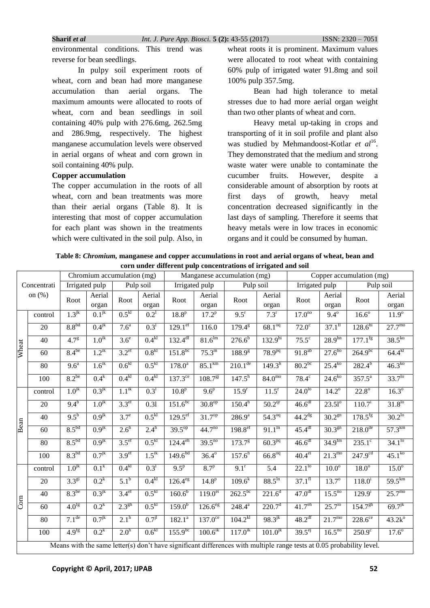environmental conditions. This trend was reverse for bean seedlings.

In pulpy soil experiment roots of wheat, corn and bean had more manganese accumulation than aerial organs. The maximum amounts were allocated to roots of wheat, corn and bean seedlings in soil containing 40% pulp with 276.6mg, 262.5mg and 286.9mg, respectively. The highest manganese accumulation levels were observed in aerial organs of wheat and corn grown in soil containing 40% pulp.

# **Copper accumulation**

The copper accumulation in the roots of all wheat, corn and bean treatments was more than their aerial organs (Table 8). It is interesting that most of copper accumulation for each plant was shown in the treatments which were cultivated in the soil pulp. Also, in

wheat roots it is prominent. Maximum values were allocated to root wheat with containing 60% pulp of irrigated water 91.8mg and soil 100% pulp 357.5mg.

Bean had high tolerance to metal stresses due to had more aerial organ weight than two other plants of wheat and corn.

Heavy metal up-taking in crops and transporting of it in soil profile and plant also was studied by Mehmandoost-Kotlar et al<sup>16</sup>. They demonstrated that the medium and strong waste water were unable to contaminate the cucumber fruits. However, despite a considerable amount of absorption by roots at first days of growth, heavy metal concentration decreased significantly in the last days of sampling. Therefore it seems that heavy metals were in low traces in economic organs and it could be consumed by human.

**Table 8:** *Chromium,* **manganese and copper accumulations in root and aerial organs of wheat, bean and corn under different pulp concentrations of irrigated and soil**

|                         |             |                    | Chromium accumulation (mg) |                                 |                   |                       |                        | Manganese accumulation (mg) |                        |                      |                        | Copper accumulation (mg)                                                                                              |                    |
|-------------------------|-------------|--------------------|----------------------------|---------------------------------|-------------------|-----------------------|------------------------|-----------------------------|------------------------|----------------------|------------------------|-----------------------------------------------------------------------------------------------------------------------|--------------------|
|                         | Concentrati |                    | Irrigated pulp             |                                 | Pulp soil         |                       | Irrigated pulp         | Pulp soil                   |                        | Irrigated pulp       |                        |                                                                                                                       | Pulp soil          |
|                         | on $(\%)$   | Root               | Aerial                     | Root                            | Aerial            | Root                  | Aerial                 | Root                        | Aerial                 | Root                 | Aerial                 | Root                                                                                                                  | Aerial             |
|                         |             |                    | organ                      |                                 | organ             |                       | organ                  |                             | organ                  |                      | organ                  |                                                                                                                       | organ              |
|                         | control     | $1.3^{jk}$         | $0.1^{jk}$                 | 0.5 <sup>kl</sup>               | $0.2^1$           | 18.8 <sup>p</sup>     | $17.2^{p}$             | 9.5 <sup>r</sup>            | 7.3 <sup>r</sup>       | 17.0 <sup>no</sup>   | $9.4^{\circ}$          | $16.6^\circ$                                                                                                          | $11.9^{\circ}$     |
|                         | 20          | 8.8 <sup>bd</sup>  | $0.4^{jk}$                 | 7.6 <sup>a</sup>                | $0.3^1$           | $129.1^{\text{ef}}$   | 116.0                  | $179.4^{\overline{g}}$      | $68.1^{\overline{0q}}$ | $72.0^\circ$         | $37.1^{f1}$            | $128.6^{hi}$                                                                                                          | $27.7^{\text{mo}}$ |
| Wheat                   | 40          | 4.7 <sup>g</sup>   | $1.0^{\rm ik}$             | $3.6^\circ$                     | 0.4 <sup>kl</sup> | $132.4^{df}$          | 81.6 <sup>lm</sup>     | $276.6^{b}$                 | 132.9 <sup>hi</sup>    | $75.5^\circ$         | $28.9^{hn}$            | $177.1$ <sup>fg</sup>                                                                                                 | $38.5^{k0}$        |
|                         | 60          | $8.4^{be}$         | $1.2^{ik}$                 | $3.2^{\text{ef}}$               | 0.8 <sup>kl</sup> | $151.8^{bc}$          | $75.3^{\rm m}$         | 188.9 <sup>g</sup>          | $78.9^{pq}$            | $91.8^{ab}$          | $27.6^{ho}$            | $264.9^{bc}$                                                                                                          | $64.4^{kl}$        |
|                         | 80          | $9.6^{\mathrm{a}}$ | $1.6^{ik}$                 | 0.6 <sup>kl</sup>               | 0.5 <sup>kl</sup> | $178.0^a$             | $85.1^{km}$            | $210.1^{\text{de}}$         | 149.3 <sup>h</sup>     | $80.2^{bc}$          | $25.4^{k0}$            | $282.4^{b}$                                                                                                           | $46.3^{k0}$        |
|                         | 100         | $8.2^{be}$         | $0.4^k$                    | 0.4 <sup>kl</sup>               | 0.4 <sup>kl</sup> | $137.3^{\text{ce}}$   | $108.7^{g}$            | $147.5^{h}$                 | 84.0 <sup>mo</sup>     | $78.4^\circ$         | $24.6^{k0}$            | $357.5^{\circ}$                                                                                                       | $33.7^{10}$        |
|                         | control     | 1.0 <sup>jk</sup>  | $0.3^{jk}$                 | $1.1^{\rm ik}$                  | $0.3^{1}$         | 10.8 <sup>p</sup>     | 9.6 <sup>p</sup>       | 15.9 <sup>r</sup>           | $11.5^r$               | $24.0^{10}$          | $14.2^{\circ}$         | $22.8^\circ$                                                                                                          | $16.3^\circ$       |
|                         | 20          | $9.4^{b}$          | $1.0^{jk}$                 | $3.3^{\text{ef}}$               | 0.31              | $151.6^{bc}$          | $30.8^{\text{op}}$     | $150.4^{h}$                 | 50.2 <sup>qr</sup>     | 46.6 <sup>df</sup>   | $23.51^{\circ}$        | $110.7^{\rm i}$                                                                                                       | $31.8^{10}$        |
|                         | 40          | $9.5^{b}$          | $0.9^{jk}$                 | $3.7^e$                         | 0.5 <sup>kl</sup> | 129.5 <sup>ef</sup>   | $31.\overline{7^{op}}$ | $286.\overline{9^a}$        | $54.3^{oq}$            | $44.2^{dg}$          | $30.2^{gn}$            | $178.5^{fg}$                                                                                                          | $30.2^{10}$        |
| Bean                    | 60          | 8.5 <sup>bd</sup>  | $0.9^{jk}$                 | $2.6^h$                         | $2.4^h$           | $39.5^{\text{op}}$    | $44.7^{no}$            | $198.8$ <sup>ef</sup>       | $91.1^{\text{ln}}$     | 45.4 <sup>df</sup>   | $30.3^{gn}$            | $218.0^{de}$                                                                                                          | $57.3^{km}$        |
|                         | 80          | 8.5 <sup>bd</sup>  | $0.9^{jk}$                 | 3.5 <sup>ef</sup>               | 0.5 <sup>kl</sup> | $124.4^{\text{eh}}$   | $39.5^{no}$            | $173.7^{\circ}$             | $60.3^{pq}$            | 46.6 <sup>df</sup>   | $34.9^{fm}$            | $235.1^{\circ}$                                                                                                       | $34.1^{10}$        |
|                         | 100         | 8.3 <sup>bd</sup>  | 0.7 <sup>jk</sup>          | 3.9 <sup>ef</sup>               | $1.5^{ik}$        | $149.6^{bd}$          | $36.4^{\circ}$         | $157.6^{\overline{h}}$      | 66.8 <sup>oq</sup>     | $40.4^\text{ei}$     | $21.3^{\text{mo}}$     | 247.9 <sup>cd</sup>                                                                                                   | $45.1^{k0}$        |
|                         | control     | $1.0^{jk}$         | $0.1^k$                    | 0.4 <sup>kl</sup>               | $0.3^{1}$         | $9.5^p$               | $8.7^{\rm p}$          | $9.1^r$                     | 5.4                    | $22.1^{10}$          | $10.0^\circ$           | $18.0^\circ$                                                                                                          | $15.0^\circ$       |
|                         | 20          | $3.3^{g_1}$        | $0.2^k$                    | 5.1 <sup>b</sup>                | 0.4 <sup>kl</sup> | $126.4$ <sup>eg</sup> | $14.8^{p}$             | $109.6^{k}$                 | $88.5^{\rm ln}$        | $37.1^{f}$           | $13.7^{\circ}$         | $118.0^1$                                                                                                             | 59.5 <sup>km</sup> |
|                         | 40          | $8.3^{be}$         | $0.3^{jk}$                 | 3.4 <sup>ef</sup>               | 0.5 <sup>kl</sup> | $160.6^{b}$           | $119.0^{ei}$           | $262.5^{bc}$                | $221.6^d$              | $47.0$ <sup>df</sup> | $15.5^{no}$            | $129.9^{i}$                                                                                                           | $25.7^{\text{mo}}$ |
| $\overline{\text{Com}}$ | 60          | 4.0 <sup>fg</sup>  | $0.2^k$                    | $2.3^{gh}$                      | 0.5 <sup>kl</sup> | $159.0^{b}$           | $126.6$ <sup>eg</sup>  | $248.4^{a}$                 | 220.7 <sup>d</sup>     | $41.7^{\text{eh}}$   | $25.7^{10}$            | 154.7 <sup>gh</sup>                                                                                                   | $69.7^{jk}$        |
|                         | 80          | 7.1 <sup>de</sup>  | $0.7^{jk}$                 | $2.\overline{1}^{\overline{h}}$ | $0.7^{j}$         | $182.1^a$             | $137.0^{\circ}$        | $104.2^{kl}$                | $98.3^{jk}$            | $48.2$ <sup>df</sup> | $21.\overline{7^{mo}}$ | $228.6^{\circ}$                                                                                                       | $43.2k^{\circ}$    |
|                         | 100         | 4.9 <sup>fg</sup>  | $0.2^k$                    | 2.0 <sup>h</sup>                | 0.6 <sup>kl</sup> | $155.9^{bc}$          | $100.6^{ik}$           | $117.0^{ik}$                | $101.0^{jk}$           | $39.5^\text{ej}$     | $16.5^{no}$            | $250.9^{\circ}$                                                                                                       | $17.6^{\circ}$     |
|                         |             |                    |                            |                                 |                   |                       |                        |                             |                        |                      |                        | Means with the same letter(s) don't have significant differences with multiple range tests at 0.05 probability level. |                    |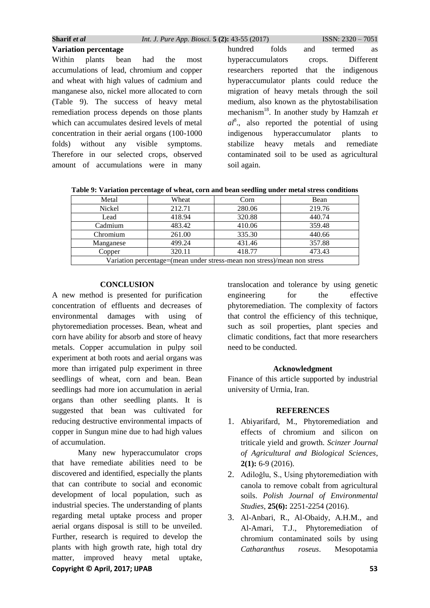|  | Sharif <i>et al</i> | <i>Int. J. Pure App. Biosci.</i> 5 (2): 43-55 (2017) | $ISSN: 2320 - 7051$ |
|--|---------------------|------------------------------------------------------|---------------------|
|--|---------------------|------------------------------------------------------|---------------------|

**Variation percentage**  Within plants bean had the most accumulations of lead, chromium and copper and wheat with high values of cadmium and manganese also, nickel more allocated to corn (Table 9). The success of heavy metal remediation process depends on those plants which can accumulates desired levels of metal concentration in their aerial organs (100-1000 folds) without any visible symptoms. Therefore in our selected crops, observed amount of accumulations were in many hundred folds and termed as hyperaccumulators crops. Different researchers reported that the indigenous hyperaccumulator plants could reduce the migration of heavy metals through the soil medium, also known as the phytostabilisation mechanism<sup>18</sup>. In another study by Hamzah *et*   $al^8$ ., also reported the potential of using indigenous hyperaccumulator plants to stabilize heavy metals and remediate contaminated soil to be used as agricultural soil again.

**Table 9: Variation percentage of wheat, corn and bean seedling under metal stress conditions**

| Metal                                                                    | Wheat  | Corn   | Bean   |
|--------------------------------------------------------------------------|--------|--------|--------|
| <b>Nickel</b>                                                            | 212.71 | 280.06 | 219.76 |
| Lead                                                                     | 418.94 | 320.88 | 440.74 |
| Cadmium                                                                  | 483.42 | 410.06 | 359.48 |
| Chromium                                                                 | 261.00 | 335.30 | 440.66 |
| Manganese                                                                | 499.24 | 431.46 | 357.88 |
| Copper                                                                   | 320.11 | 418.77 | 473.43 |
| Variation percentage=(mean under stress-mean non stress)/mean non stress |        |        |        |

# **CONCLUSION**

A new method is presented for purification concentration of effluents and decreases of environmental damages with using of phytoremediation processes. Bean, wheat and corn have ability for absorb and store of heavy metals. Copper accumulation in pulpy soil experiment at both roots and aerial organs was more than irrigated pulp experiment in three seedlings of wheat, corn and bean. Bean seedlings had more ion accumulation in aerial organs than other seedling plants. It is suggested that bean was cultivated for reducing destructive environmental impacts of copper in Sungun mine due to had high values of accumulation.

**Copyright © April, 2017; IJPAB 53** Many new hyperaccumulator crops that have remediate abilities need to be discovered and identified, especially the plants that can contribute to social and economic development of local population, such as industrial species. The understanding of plants regarding metal uptake process and proper aerial organs disposal is still to be unveiled. Further, research is required to develop the plants with high growth rate, high total dry matter, improved heavy metal uptake,

translocation and tolerance by using genetic engineering for the effective phytoremediation. The complexity of factors that control the efficiency of this technique, such as soil properties, plant species and climatic conditions, fact that more researchers need to be conducted.

# **Acknowledgment**

Finance of this article supported by industrial university of Urmia, Iran.

# **REFERENCES**

- 1. Abiyarifard, M., Phytoremediation and effects of chromium and silicon on triticale yield and growth. *Scinzer Journal of Agricultural and Biological Sciences*, **2(1):** 6-9 (2016).
- 2. Adiloğlu, S., Using phytoremediation with canola to remove cobalt from agricultural soils. *Polish Journal of Environmental Studies*, **25(6):** 2251-2254 (2016).
- 3. Al-Anbari, R., Al-Obaidy, A.H.M., and Al-Amari, T.J., Phytoremediation of chromium contaminated soils by using *Catharanthus roseus*. Mesopotamia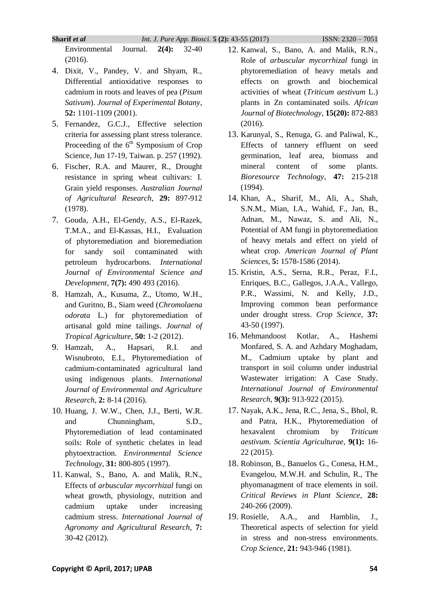Environmental Journal. **2(4):** 32-40

(2016).

- 4. Dixit, V., Pandey, V. and Shyam, R., Differential antioxidative responses to cadmium in roots and leaves of pea (*Pisum Sativum*). *Journal of Experimental Botany*, **52:** 1101-1109 (2001).
- 5. Fernandez, G.C.J., Effective selection criteria for assessing plant stress tolerance. Proceeding of the  $6<sup>th</sup>$  Symposium of Crop Science, Jun 17-19, Taiwan. p. 257 (1992).
- 6. Fischer, R.A. and Maurer, R., Drought resistance in spring wheat cultivars: I. Grain yield responses. *Australian Journal of Agricultural Research*, **29:** 897-912 (1978).
- 7. Gouda, A.H., El-Gendy, A.S., El-Razek, T.M.A., and El-Kassas, H.I., Evaluation of phytoremediation and bioremediation for sandy soil contaminated with petroleum hydrocarbons. *International Journal of Environmental Science and Development*, **7(7):** 490 493 (2016).
- 8. Hamzah, A., Kusuma, Z., Utomo, W.H., and Guritno, B., Siam weed (*Chromolaena odorata* L.) for phytoremediation of artisanal gold mine tailings. *Journal of Tropical Agriculture*, **50:** 1-2 (2012).
- 9. Hamzah, A., Hapsari, R.I. and Wisnubroto, E.I., Phytoremediation of cadmium-contaminated agricultural land using indigenous plants. *International Journal of Environmental and Agriculture Research*, **2:** 8-14 (2016).
- 10. Huang, J. W.W., Chen, J.J., Berti, W.R. and Chunningham, S.D., Phytoremediation of lead contaminated soils: Role of synthetic chelates in lead phytoextraction. *Environmental Science Technology*, **31:** 800-805 (1997).
- 11. Kanwal, S., Bano, A. and Malik, R.N., Effects of *arbuscular mycorrhizal* fungi on wheat growth, physiology, nutrition and cadmium uptake under increasing cadmium stress. *International Journal of Agronomy and Agricultural Research*, **7:** 30-42 (2012).
- 12. Kanwal, S., Bano, A. and Malik, R.N., Role of *arbuscular mycorrhizal* fungi in phytoremediation of heavy metals and effects on growth and biochemical activities of wheat (*Triticum aestivum* L.) plants in Zn contaminated soils. *African Journal of Biotechnology*, **15(20):** 872-883 (2016).
- 13. Karunyal, S., Renuga, G. and Paliwal, K., Effects of tannery effluent on seed germination, leaf area, biomass and mineral content of some plants. *Bioresource Technology*, **47:** 215-218 (1994).
- 14. Khan, A., Sharif, M., Ali, A., Shah, S.N.M., Mian, I.A., Wahid, F., Jan, B., Adnan, M., Nawaz, S. and Ali, N., Potential of AM fungi in phytoremediation of heavy metals and effect on yield of wheat crop. *American Journal of Plant Sciences*, **5:** 1578-1586 (2014).
- 15. Kristin, A.S., Serna, R.R., Peraz, F.I., Enriques, B.C., Gallegos, J.A.A., Vallego, P.R., Wassimi, N. and Kelly, J.D., Improving common bean performance under drought stress. *Crop Science*, **37:** 43-50 (1997).
- 16. Mehmandoost Kotlar, A., Hashemi Monfared, S. A. and Azhdary Moghadam, M., Cadmium uptake by plant and transport in soil column under industrial Wastewater irrigation: A Case Study. *International Journal of Environmental Research*, **9(3):** 913-922 (2015).
- 17. Nayak, A.K., Jena, R.C., Jena, S., Bhol, R. and Patra, H.K., Phytoremediation of hexavalent chromium by *Triticum aestivum*. *Scientia Agriculturae*, **9(1):** 16- 22 (2015).
- 18. Robinson, B., Banuelos G., Conesa, H.M., Evangelou, M.W.H. and Schulin, R., The phyomanagment of trace elements in soil. *Critical Reviews in Plant Science,* **28:**  240-266 (2009).
- 19. Rosielle, A.A., and Hamblin, J., Theoretical aspects of selection for yield in stress and non-stress environments. *Crop Science*, **21:** 943-946 (1981).